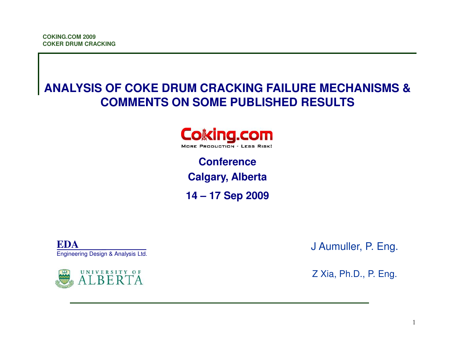# **ANALYSIS OF COKE DRUM CRACKING FAILURE MECHANISMS &COMMENTS ON SOME PUBLISHED RESULTS**



**Conference Calgary, Alberta14 – 17 Sep 2009**

**EDA**Engineering Design & Analysis Ltd.



J Aumuller, P. Eng.

Z Xia, Ph.D., P. Eng.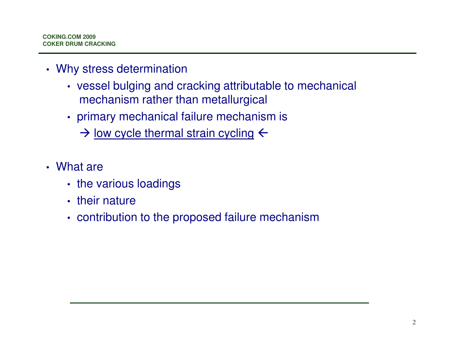- Why stress determination
	- vessel bulging and cracking attributable to mechanical mechanism rather than metallurgical
	- primary mechanical failure mechanism is
		- $\rightarrow$  low cycle thermal strain cycling  $\leftarrow$
- What are
	- the various loadings
	- their nature
	- contribution to the proposed failure mechanism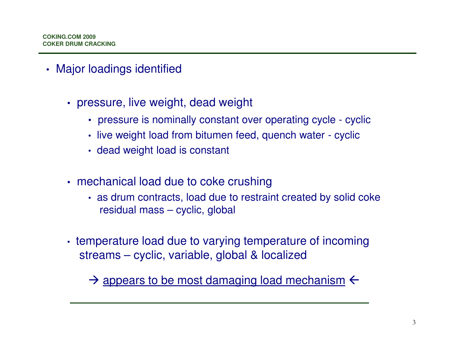- Major loadings identified
	- pressure, live weight, dead weight
		- pressure is nominally constant over operating cycle cyclic
		- live weight load from bitumen feed, quench water cyclic
		- dead weight load is constant
	- mechanical load due to coke crushing
		- as drum contracts, load due to restraint created by solid coke residual mass – cyclic, global
	- temperature load due to varying temperature of incoming streams – cyclic, variable, global & localized

 $\rightarrow$  appears to be most damaging load mechanism  $\leftarrow$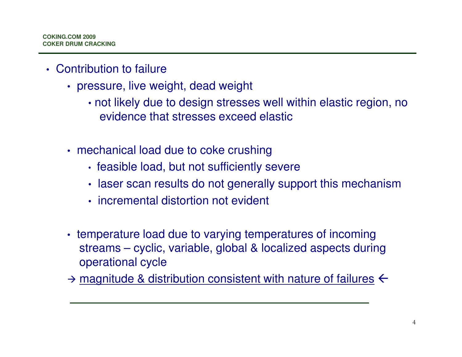- Contribution to failure
	- pressure, live weight, dead weight
		- not likely due to design stresses well within elastic region, no evidence that stresses exceed elastic
	- mechanical load due to coke crushing
		- feasible load, but not sufficiently severe
		- laser scan results do not generally support this mechanism
		- incremental distortion not evident
	- temperature load due to varying temperatures of incoming streams – cyclic, variable, global & localized aspects during operational cycle
	- $\rightarrow$  magnitude & distribution consistent with nature of failures  $\leftarrow$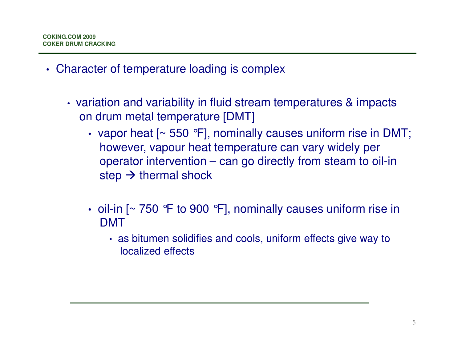- Character of temperature loading is complex
	- variation and variability in fluid stream temperatures & impacts on drum metal temperature [DMT]
		- vapor heat [~ 550 °F], nominally causes uniform rise in DMT; however, vapour heat temperature can vary widely per operator intervention – can go directly from steam to oil-in step  $\rightarrow$  thermal shock
		- oil-in [~ 750 °F to 900 °F], nominally causes uniform rise in DMT
			- as bitumen solidifies and cools, uniform effects give way to localized effects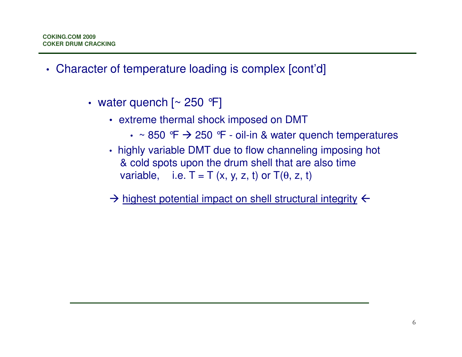- Character of temperature loading is complex [cont'd]
	- water quench [~ 250 °F]
		- extreme thermal shock imposed on DMT
			- $\sim$  850 °F  $\rightarrow$  250 °F oil-in & water quench temperatures
		- highly variable DMT due to flow channeling imposing hot & cold spots upon the drum shell that are also time variable, i.e.  $T = T(x, y, z, t)$  or  $T(\theta, z, t)$
		- $\rightarrow$  highest potential impact on shell structural integrity  $\leftarrow$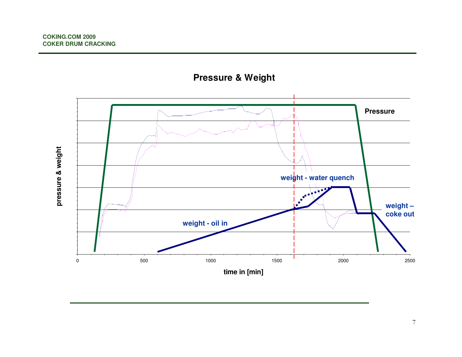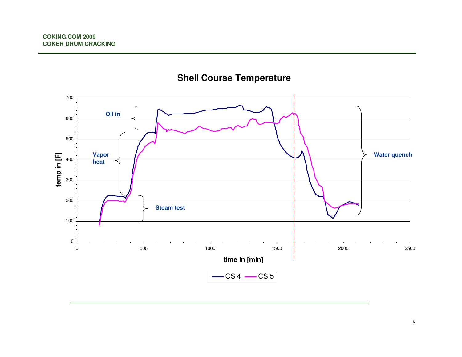

#### **Shell Course Temperature**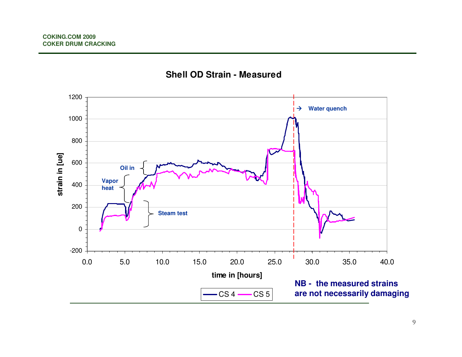

#### **Shell OD Strain - Measured**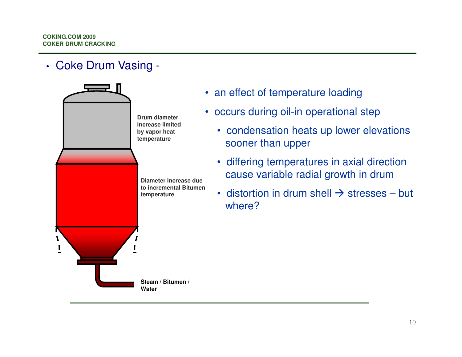• Coke Drum Vasing -



- an effect of temperature loading
- occurs during oil-in operational step
	- condensation heats up lower elevations sooner than upper
	- differing temperatures in axial direction cause variable radial growth in drum
	- distortion in drum shell  $\rightarrow$  stresses but<br>where? where?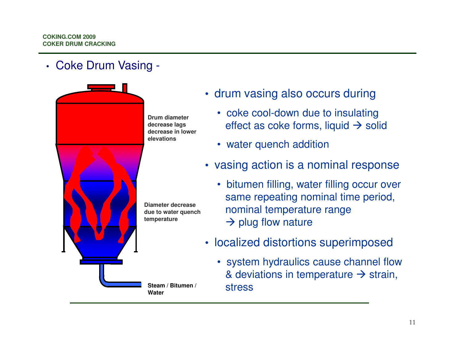### • Coke Drum Vasing -



- drum vasing also occurs during
	- coke cool-down due to insulating effect as coke forms, liquid  $\rightarrow$  solid
	- water quench addition
- vasing action is a nominal response
	- bitumen filling, water filling occur over same repeating nominal time period, nominal temperature range  $\rightarrow$  plug flow nature
- localized distortions superimposed
- system hydraulics cause channel flow & deviations in temperature → strain,<br>stress Steam / Bitumen / Stress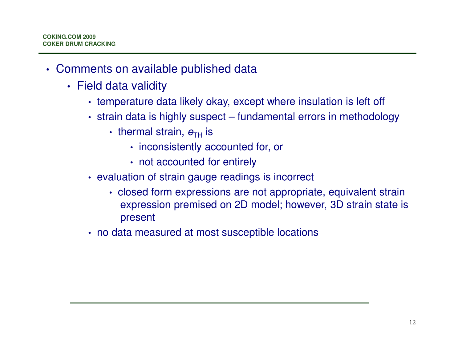- Comments on available published data
	- Field data validity
		- temperature data likely okay, except where insulation is left off
		- strain data is highly suspect fundamental errors in methodology
			- thermal strain,  $e_{\text{TH}}$  is
				- inconsistently accounted for, or
				- not accounted for entirely
		- evaluation of strain gauge readings is incorrect
			- closed form expressions are not appropriate, equivalent strain expression premised on 2D model; however, 3D strain state is present
		- no data measured at most susceptible locations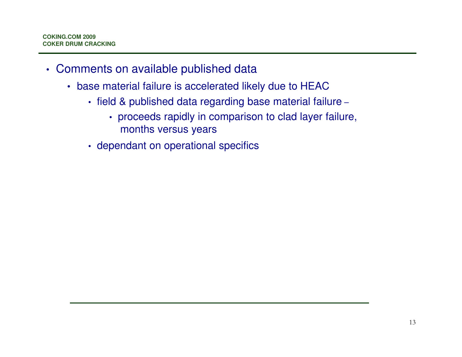- Comments on available published data
	- base material failure is accelerated likely due to HEAC
		- field & published data regarding base material failure
			- proceeds rapidly in comparison to clad layer failure, months versus years
		- dependant on operational specifics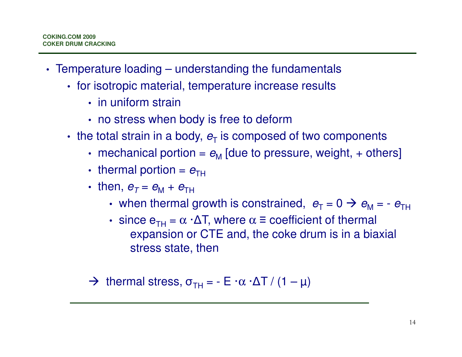- Temperature loading understanding the fundamentals
	- for isotropic material, temperature increase results
		- in uniform strain
		- no stress when body is free to deform
	- the total strain in a body,  $e_\text{T}$  is composed of two components
		- mechanical portion =  $e_\mathsf{M}$  [due to pressure, weight, + others]
		- thermal portion =  $e_{\scriptscriptstyle\rm TH}$
		- then,  $e_7 = e_{\mathsf{M}} + e_{\mathsf{T}\mathsf{H}}$ 
			- when thermal growth is constrained,  $e_T = 0 \implies e_M = -e_{TH}$
			- since  $e_{TH} = \alpha \cdot \Delta T$ , where  $\alpha \equiv$  coefficient of thermal expansion or CTE and, the coke drum is in a biaxialstress state, then

 $\rightarrow$  thermal stress,  $\sigma_{TH}$  = - E ·α ·ΔT / (1 – μ)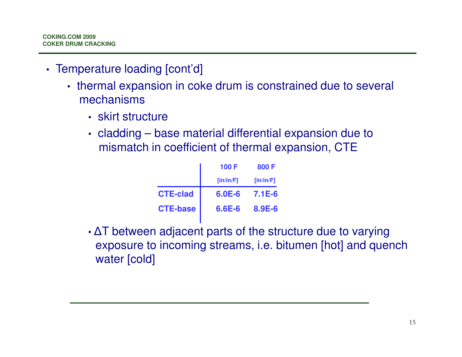- Temperature loading [cont'd]
	- thermal expansion in coke drum is constrained due to several mechanisms
		- skirt structure
		- cladding base material differential expansion due to mismatch in coefficient of thermal expansion, CTE

| 100 F      | 800 F     |
|------------|-----------|
| [in/in/F]  | [in/in/F] |
| $6.0E - 6$ | $7.1E-6$  |
| $6.6E - 6$ | 8.9E-6    |
|            |           |

• ΔT between adjacent parts of the structure due to varying exposure to incoming streams, i.e. bitumen [hot] and quench water [cold]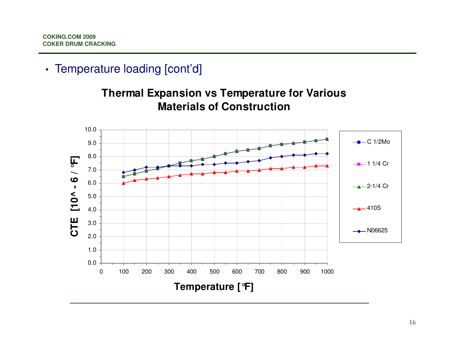## • Temperature loading [cont'd]



**Thermal Expansion vs Temperature for Various Materials of Construction**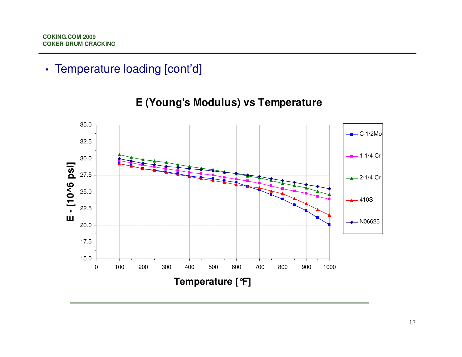# • Temperature loading [cont'd]



#### **E (Young's Modulus) vs Temperature**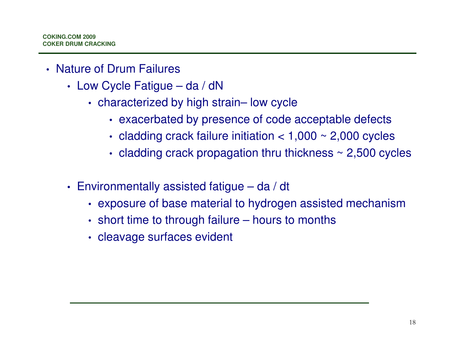- Nature of Drum Failures
	- Low Cycle Fatigue da / dN
		- characterized by high strain– low cycle
			- exacerbated by presence of code acceptable defects
			- cladding crack failure initiation < 1,000 ~ 2,000 cycles
			- $\bm{\cdot}$  cladding crack propagation thru thickness  $\sim$  2,500 cycles
	- Environmentally assisted fatigue da / dt
		- exposure of base material to hydrogen assisted mechanism
		- short time to through failure hours to months
		- cleavage surfaces evident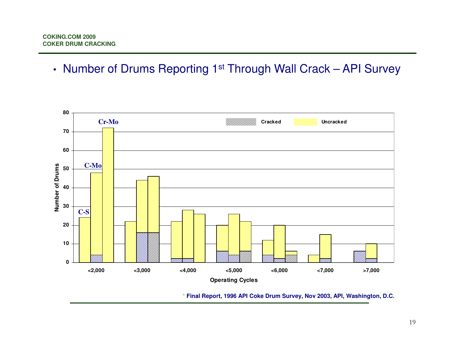• Number of Drums Reporting 1<sup>st</sup> Through Wall Crack – API Survey



**\* Final Report, 1996 API Coke Drum Survey, Nov 2003, API, Washington, D.C.**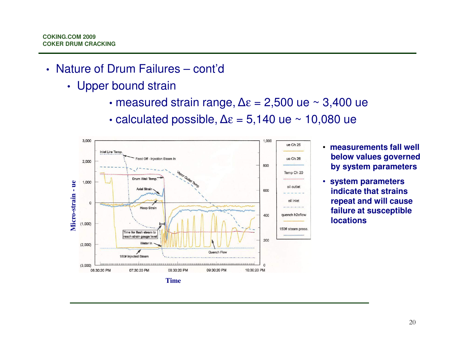- Nature of Drum Failures cont'd
	- Upper bound strain
		- measured strain range,  $\Delta \varepsilon = 2,500$  ue ~ 3,400 ue
		- calculated possible,  $\Delta \varepsilon = 5,140$  ue ~ 10,080 ue



- **measurements fall well below values governed by system parameters**
- **system parameters indicate that strains repeat and will cause failure at susceptible locations**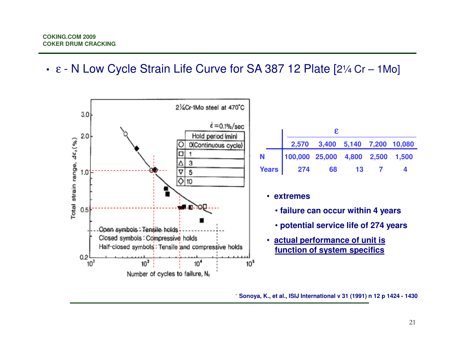• <sup>ε</sup>- N Low Cycle Strain Life Curve for SA 387 12 Plate [2¼ Cr – 1Mo]



**\* Sonoya, K., et al., ISIJ International v 31 (1991) n 12 p 1424 - 1430**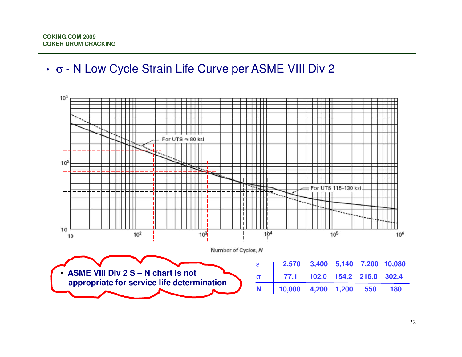## • <sup>σ</sup>- N Low Cycle Strain Life Curve per ASME VIII Div 2

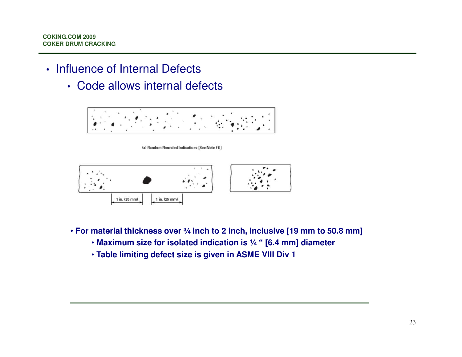- Influence of Internal Defects
	- Code allows internal defects



(a) Random Rounded Indications [See Note (1)]



- **For material thickness over ¾ inch to 2 inch, inclusive [19 mm to 50.8 mm]**
	- **Maximum size for isolated indication is ¼ " [6.4 mm] diameter**
	- **Table limiting defect size is given in ASME VIII Div 1**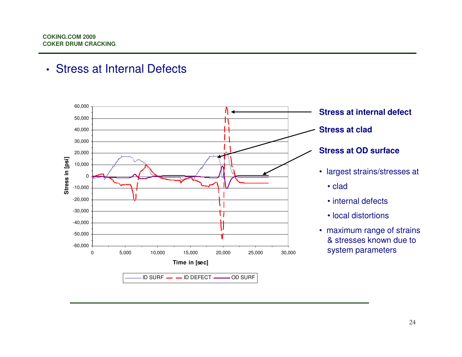### • Stress at Internal Defects

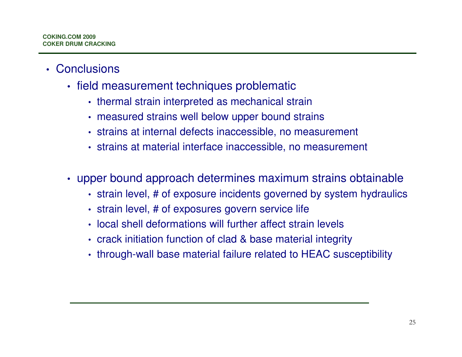- Conclusions
	- field measurement techniques problematic
		- thermal strain interpreted as mechanical strain
		- measured strains well below upper bound strains
		- strains at internal defects inaccessible, no measurement
		- strains at material interface inaccessible, no measurement
	- upper bound approach determines maximum strains obtainable
		- strain level, # of exposure incidents governed by system hydraulics
		- strain level, # of exposures govern service life
		- local shell deformations will further affect strain levels
		- crack initiation function of clad & base material integrity
		- through-wall base material failure related to HEAC susceptibility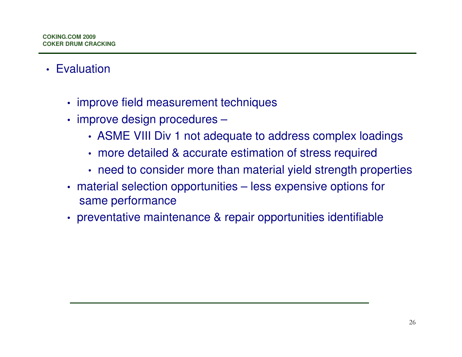- Evaluation
	- improve field measurement techniques
	- improve design procedures –
		- ASME VIII Div 1 not adequate to address complex loadings
		- more detailed & accurate estimation of stress required
		- need to consider more than material yield strength properties
	- material selection opportunities less expensive options for same performance
	- preventative maintenance & repair opportunities identifiable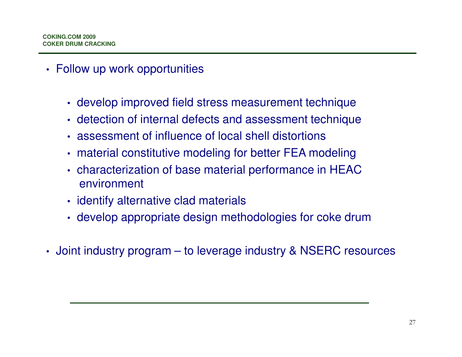- Follow up work opportunities
	- develop improved field stress measurement technique
	- detection of internal defects and assessment technique
	- assessment of influence of local shell distortions
	- material constitutive modeling for better FEA modeling
	- characterization of base material performance in HEAC environment
	- identify alternative clad materials
	- develop appropriate design methodologies for coke drum
- Joint industry program to leverage industry & NSERC resources